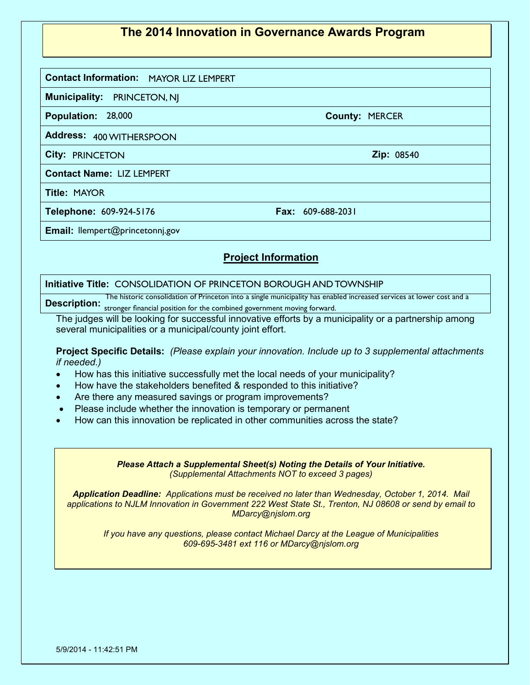## **The 2014 Innovation in Governance Awards Program**

**Contact Information: MAYOR LIZ LEMPERT<br>Municipality: PRINCETON, NJ** 

**Municipality: PRINCETON, NI** 

**Population: 28,000** 

Address: 400 WITHERSPOON 400 WITHERSPOON PRINCETON <sup>08540</sup>

**City: Zip:**

**Contact Name:**  LIZ LEMPERT

**Title:**

**Telephone: Fax:** MAYOR 609-924-5176 609-688-2031

**Email:** llempert@princetonnj.gov

## **Project Information**

## Email: llempert@princetonnj.gov<br>Project Information<br>Initiative Title: CONSOLIDATION OF PRINCETON BOROUGH AND TOWNSHIP

Description: we make the consensation of the combined government moving forward. The historic consolidation of Princeton into a single municipality has enabled increased services at lower cost and a

The judges will be looking for successful innovative efforts by a municipality or a partnership among several municipalities or a municipal/county joint effort.

**Project Specific Details:** *(Please explain your innovation. Include up to 3 supplemental attachments if needed.)*

- How has this initiative successfully met the local needs of your municipality?
- How have the stakeholders benefited & responded to this initiative?
- Are there any measured savings or program improvements?
- Please include whether the innovation is temporary or permanent
- How can this innovation be replicated in other communities across the state?

*Please Attach a Supplemental Sheet(s) Noting the Details of Your Initiative. (Supplemental Attachments NOT to exceed 3 pages)*

*Application Deadline: Applications must be received no later than Wednesday, October 1, 2014. Mail applications to NJLM Innovation in Government 222 West State St., Trenton, NJ 08608 or send by email to MDarcy@njslom.org*

*If you have any questions, please contact Michael Darcy at the League of Municipalities 609-695-3481 ext 116 or MDarcy@njslom.org*

**County: MERCER**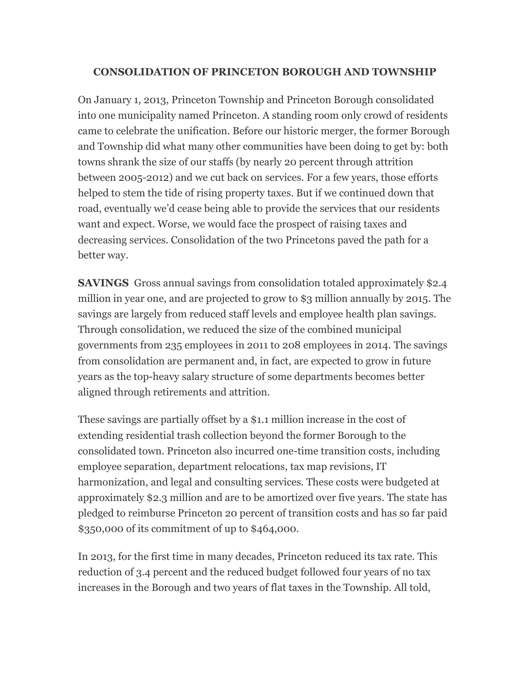## **CONSOLIDATION OF PRINCETON BOROUGH AND TOWNSHIP**

On January 1, 2013, Princeton Township and Princeton Borough consolidated into one municipality named Princeton. A standing room only crowd of residents came to celebrate the unification. Before our historic merger, the former Borough and Township did what many other communities have been doing to get by: both towns shrank the size of our staffs (by nearly 20 percent through attrition between 2005-2012) and we cut back on services. For a few years, those efforts helped to stem the tide of rising property taxes. But if we continued down that road, eventually we'd cease being able to provide the services that our residents want and expect. Worse, we would face the prospect of raising taxes and decreasing services. Consolidation of the two Princetons paved the path for a better way.

**SAVINGS** Gross annual savings from consolidation totaled approximately \$2.4 million in year one, and are projected to grow to \$3 million annually by 2015. The savings are largely from reduced staff levels and employee health plan savings. Through consolidation, we reduced the size of the combined municipal governments from 235 employees in 2011 to 208 employees in 2014. The savings from consolidation are permanent and, in fact, are expected to grow in future years as the top-heavy salary structure of some departments becomes better aligned through retirements and attrition.

These savings are partially offset by a \$1.1 million increase in the cost of extending residential trash collection beyond the former Borough to the consolidated town. Princeton also incurred one-time transition costs, including employee separation, department relocations, tax map revisions, IT harmonization, and legal and consulting services. These costs were budgeted at approximately \$2.3 million and are to be amortized over five years. The state has pledged to reimburse Princeton 20 percent of transition costs and has so far paid \$350,000 of its commitment of up to \$464,000.

In 2013, for the first time in many decades, Princeton reduced its tax rate. This reduction of 3.4 percent and the reduced budget followed four years of no tax increases in the Borough and two years of flat taxes in the Township. All told,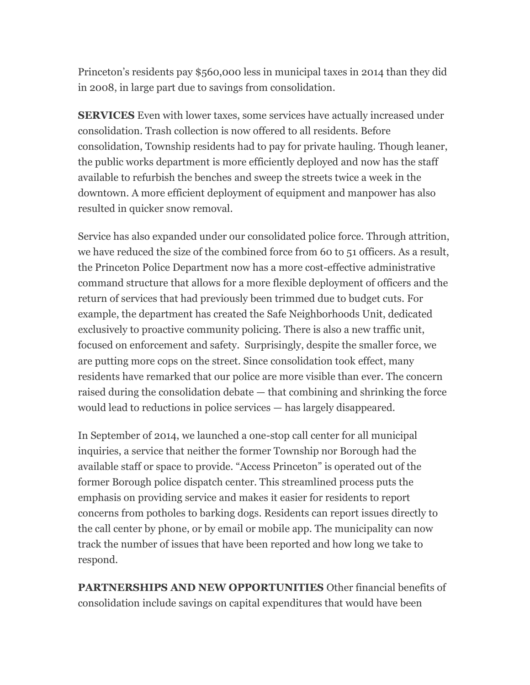Princeton's residents pay \$560,000 less in municipal taxes in 2014 than they did in 2008, in large part due to savings from consolidation.

**SERVICES** Even with lower taxes, some services have actually increased under consolidation. Trash collection is now offered to all residents. Before consolidation, Township residents had to pay for private hauling. Though leaner, the public works department is more efficiently deployed and now has the staff available to refurbish the benches and sweep the streets twice a week in the downtown. A more efficient deployment of equipment and manpower has also resulted in quicker snow removal.

Service has also expanded under our consolidated police force. Through attrition, we have reduced the size of the combined force from 60 to 51 officers. As a result, the Princeton Police Department now has a more cost-effective administrative command structure that allows for a more flexible deployment of officers and the return of services that had previously been trimmed due to budget cuts. For example, the department has created the Safe Neighborhoods Unit, dedicated exclusively to proactive community policing. There is also a new traffic unit, focused on enforcement and safety. Surprisingly, despite the smaller force, we are putting more cops on the street. Since consolidation took effect, many residents have remarked that our police are more visible than ever. The concern raised during the consolidation debate — that combining and shrinking the force would lead to reductions in police services — has largely disappeared.

In September of 2014, we launched a one-stop call center for all municipal inquiries, a service that neither the former Township nor Borough had the available staff or space to provide. "Access Princeton" is operated out of the former Borough police dispatch center. This streamlined process puts the emphasis on providing service and makes it easier for residents to report concerns from potholes to barking dogs. Residents can report issues directly to the call center by phone, or by email or mobile app. The municipality can now track the number of issues that have been reported and how long we take to respond.

**PARTNERSHIPS AND NEW OPPORTUNITIES** Other financial benefits of consolidation include savings on capital expenditures that would have been